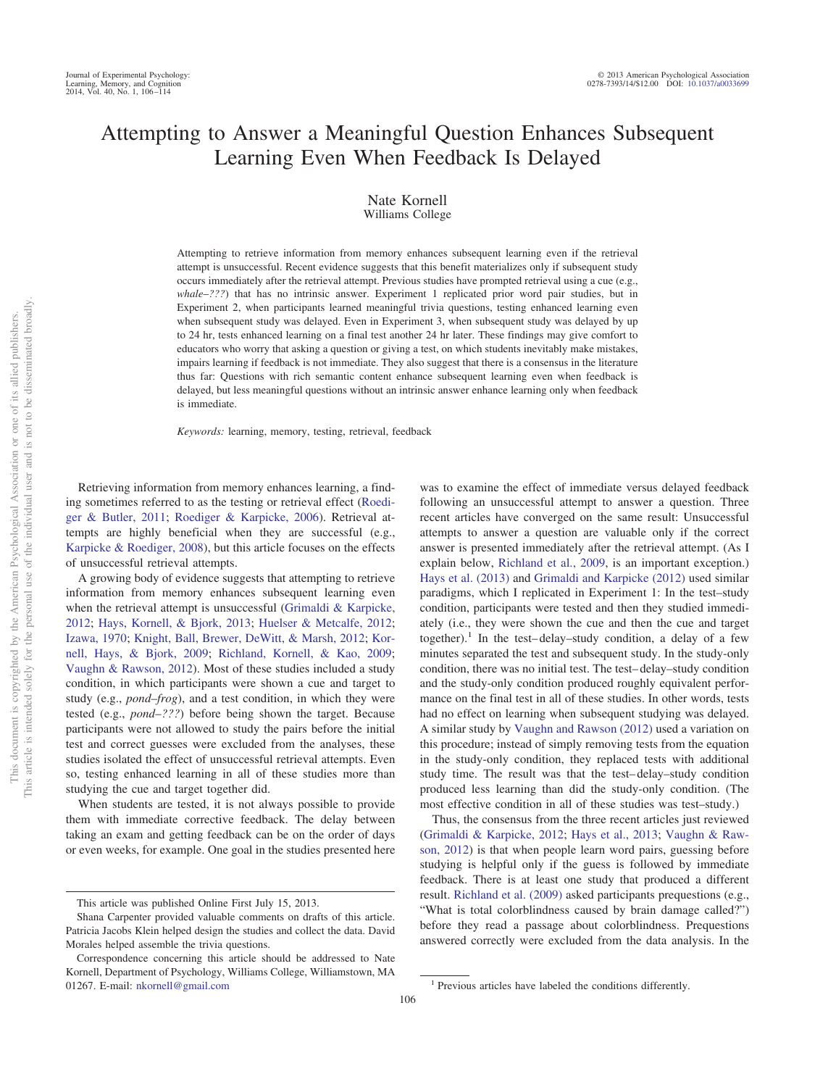# Attempting to Answer a Meaningful Question Enhances Subsequent Learning Even When Feedback Is Delayed

### Nate Kornell Williams College

Attempting to retrieve information from memory enhances subsequent learning even if the retrieval attempt is unsuccessful. Recent evidence suggests that this benefit materializes only if subsequent study occurs immediately after the retrieval attempt. Previous studies have prompted retrieval using a cue (e.g., *whale*–*???*) that has no intrinsic answer. Experiment 1 replicated prior word pair studies, but in Experiment 2, when participants learned meaningful trivia questions, testing enhanced learning even when subsequent study was delayed. Even in Experiment 3, when subsequent study was delayed by up to 24 hr, tests enhanced learning on a final test another 24 hr later. These findings may give comfort to educators who worry that asking a question or giving a test, on which students inevitably make mistakes, impairs learning if feedback is not immediate. They also suggest that there is a consensus in the literature thus far: Questions with rich semantic content enhance subsequent learning even when feedback is delayed, but less meaningful questions without an intrinsic answer enhance learning only when feedback is immediate.

*Keywords:* learning, memory, testing, retrieval, feedback

Retrieving information from memory enhances learning, a finding sometimes referred to as the testing or retrieval effect [\(Roedi](#page-7-0)[ger & Butler, 2011;](#page-7-0) [Roediger & Karpicke, 2006\)](#page-7-1). Retrieval attempts are highly beneficial when they are successful (e.g., [Karpicke & Roediger, 2008\)](#page-7-2), but this article focuses on the effects of unsuccessful retrieval attempts.

A growing body of evidence suggests that attempting to retrieve information from memory enhances subsequent learning even when the retrieval attempt is unsuccessful [\(Grimaldi & Karpicke,](#page-7-3) [2012;](#page-7-3) [Hays, Kornell, & Bjork, 2013;](#page-7-4) [Huelser & Metcalfe, 2012;](#page-7-5) [Izawa, 1970;](#page-7-6) [Knight, Ball, Brewer, DeWitt, & Marsh, 2012;](#page-7-7) [Kor](#page-7-8)[nell, Hays, & Bjork, 2009;](#page-7-8) [Richland, Kornell, & Kao, 2009;](#page-7-9) [Vaughn & Rawson, 2012\)](#page-7-10). Most of these studies included a study condition, in which participants were shown a cue and target to study (e.g., *pond*–*frog*), and a test condition, in which they were tested (e.g., *pond*–*???*) before being shown the target. Because participants were not allowed to study the pairs before the initial test and correct guesses were excluded from the analyses, these studies isolated the effect of unsuccessful retrieval attempts. Even so, testing enhanced learning in all of these studies more than studying the cue and target together did.

When students are tested, it is not always possible to provide them with immediate corrective feedback. The delay between taking an exam and getting feedback can be on the order of days or even weeks, for example. One goal in the studies presented here was to examine the effect of immediate versus delayed feedback following an unsuccessful attempt to answer a question. Three recent articles have converged on the same result: Unsuccessful attempts to answer a question are valuable only if the correct answer is presented immediately after the retrieval attempt. (As I explain below, [Richland et al., 2009,](#page-7-9) is an important exception.) [Hays et al. \(2013\)](#page-7-4) and [Grimaldi and Karpicke \(2012\)](#page-7-3) used similar paradigms, which I replicated in Experiment 1: In the test–study condition, participants were tested and then they studied immediately (i.e., they were shown the cue and then the cue and target together).<sup>1</sup> In the test–delay–study condition, a delay of a few minutes separated the test and subsequent study. In the study-only condition, there was no initial test. The test– delay–study condition and the study-only condition produced roughly equivalent performance on the final test in all of these studies. In other words, tests had no effect on learning when subsequent studying was delayed. A similar study by [Vaughn and Rawson \(2012\)](#page-7-10) used a variation on this procedure; instead of simply removing tests from the equation in the study-only condition, they replaced tests with additional study time. The result was that the test– delay–study condition produced less learning than did the study-only condition. (The most effective condition in all of these studies was test–study.)

Thus, the consensus from the three recent articles just reviewed [\(Grimaldi & Karpicke, 2012;](#page-7-3) [Hays et al., 2013;](#page-7-4) [Vaughn & Raw](#page-7-10)[son, 2012\)](#page-7-10) is that when people learn word pairs, guessing before studying is helpful only if the guess is followed by immediate feedback. There is at least one study that produced a different result. [Richland et al. \(2009\)](#page-7-9) asked participants prequestions (e.g., "What is total colorblindness caused by brain damage called?") before they read a passage about colorblindness. Prequestions answered correctly were excluded from the data analysis. In the

This article was published Online First July 15, 2013.

Shana Carpenter provided valuable comments on drafts of this article. Patricia Jacobs Klein helped design the studies and collect the data. David Morales helped assemble the trivia questions.

Correspondence concerning this article should be addressed to Nate Kornell, Department of Psychology, Williams College, Williamstown, MA 01267. E-mail: [nkornell@gmail.com](mailto:nkornell@gmail.com)

<sup>&</sup>lt;sup>1</sup> Previous articles have labeled the conditions differently.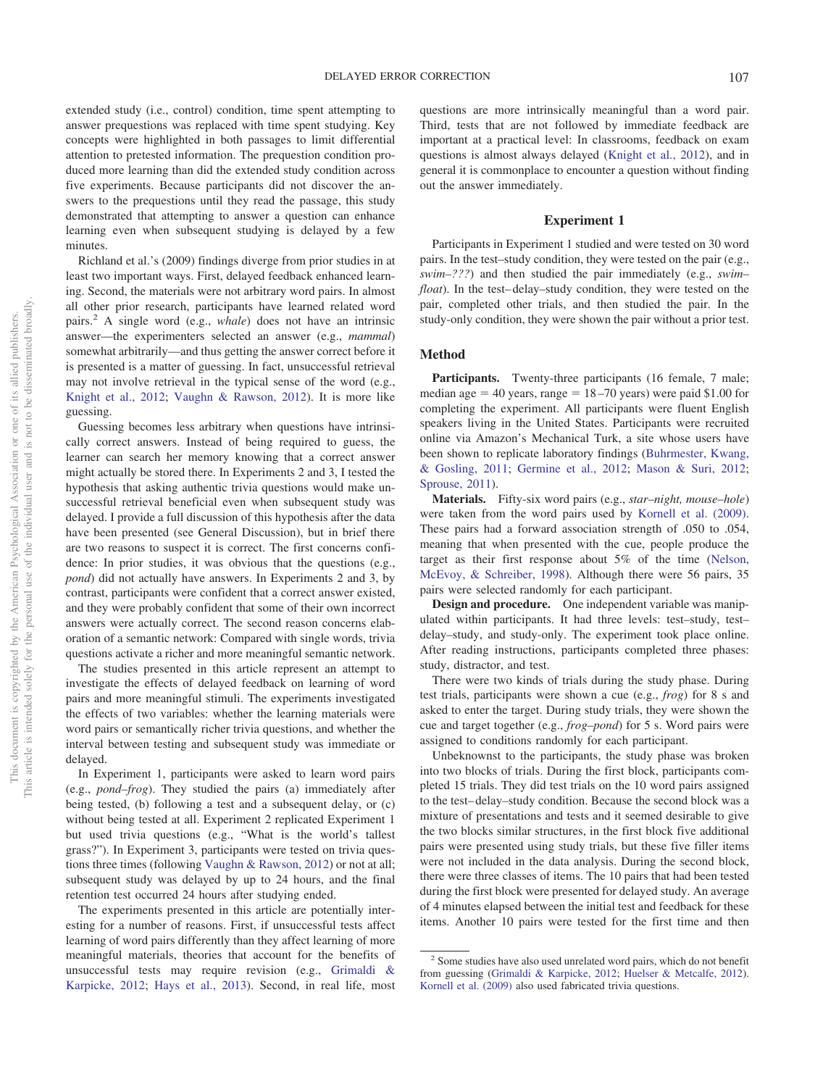extended study (i.e., control) condition, time spent attempting to answer prequestions was replaced with time spent studying. Key concepts were highlighted in both passages to limit differential attention to pretested information. The prequestion condition produced more learning than did the extended study condition across five experiments. Because participants did not discover the answers to the prequestions until they read the passage, this study demonstrated that attempting to answer a question can enhance learning even when subsequent studying is delayed by a few minutes.

Richland et al.'s (2009) findings diverge from prior studies in at least two important ways. First, delayed feedback enhanced learning. Second, the materials were not arbitrary word pairs. In almost all other prior research, participants have learned related word pairs.2 A single word (e.g., *whale*) does not have an intrinsic answer—the experimenters selected an answer (e.g., *mammal*) somewhat arbitrarily—and thus getting the answer correct before it is presented is a matter of guessing. In fact, unsuccessful retrieval may not involve retrieval in the typical sense of the word (e.g., [Knight et al., 2012;](#page-7-7) [Vaughn & Rawson, 2012\)](#page-7-10). It is more like guessing.

Guessing becomes less arbitrary when questions have intrinsically correct answers. Instead of being required to guess, the learner can search her memory knowing that a correct answer might actually be stored there. In Experiments 2 and 3, I tested the hypothesis that asking authentic trivia questions would make unsuccessful retrieval beneficial even when subsequent study was delayed. I provide a full discussion of this hypothesis after the data have been presented (see General Discussion), but in brief there are two reasons to suspect it is correct. The first concerns confidence: In prior studies, it was obvious that the questions (e.g., *pond*) did not actually have answers. In Experiments 2 and 3, by contrast, participants were confident that a correct answer existed, and they were probably confident that some of their own incorrect answers were actually correct. The second reason concerns elaboration of a semantic network: Compared with single words, trivia questions activate a richer and more meaningful semantic network.

The studies presented in this article represent an attempt to investigate the effects of delayed feedback on learning of word pairs and more meaningful stimuli. The experiments investigated the effects of two variables: whether the learning materials were word pairs or semantically richer trivia questions, and whether the interval between testing and subsequent study was immediate or delayed.

In Experiment 1, participants were asked to learn word pairs (e.g., *pond*–*frog*). They studied the pairs (a) immediately after being tested, (b) following a test and a subsequent delay, or (c) without being tested at all. Experiment 2 replicated Experiment 1 but used trivia questions (e.g., "What is the world's tallest grass?"). In Experiment 3, participants were tested on trivia questions three times (following [Vaughn & Rawson, 2012\)](#page-7-10) or not at all; subsequent study was delayed by up to 24 hours, and the final retention test occurred 24 hours after studying ended.

The experiments presented in this article are potentially interesting for a number of reasons. First, if unsuccessful tests affect learning of word pairs differently than they affect learning of more meaningful materials, theories that account for the benefits of unsuccessful tests may require revision (e.g., [Grimaldi &](#page-7-3) [Karpicke, 2012;](#page-7-3) [Hays et al., 2013\)](#page-7-4). Second, in real life, most questions are more intrinsically meaningful than a word pair. Third, tests that are not followed by immediate feedback are important at a practical level: In classrooms, feedback on exam questions is almost always delayed [\(Knight et al., 2012\)](#page-7-7), and in general it is commonplace to encounter a question without finding out the answer immediately.

## **Experiment 1**

Participants in Experiment 1 studied and were tested on 30 word pairs. In the test–study condition, they were tested on the pair (e.g., *swim–???*) and then studied the pair immediately (e.g., *swim*– *float*). In the test–delay–study condition, they were tested on the pair, completed other trials, and then studied the pair. In the study-only condition, they were shown the pair without a prior test.

# **Method**

Participants. Twenty-three participants (16 female, 7 male; median age  $= 40$  years, range  $= 18 - 70$  years) were paid \$1.00 for completing the experiment. All participants were fluent English speakers living in the United States. Participants were recruited online via Amazon's Mechanical Turk, a site whose users have been shown to replicate laboratory findings [\(Buhrmester, Kwang,](#page-7-11) [& Gosling, 2011;](#page-7-11) [Germine et al., 2012;](#page-7-12) [Mason & Suri, 2012;](#page-7-13) [Sprouse, 2011\)](#page-7-14).

**Materials.** Fifty-six word pairs (e.g., *star*–*night, mouse*–*hole*) were taken from the word pairs used by [Kornell et al. \(2009\).](#page-7-8) These pairs had a forward association strength of .050 to .054, meaning that when presented with the cue, people produce the target as their first response about 5% of the time [\(Nelson,](#page-7-15) [McEvoy, & Schreiber, 1998\)](#page-7-15). Although there were 56 pairs, 35 pairs were selected randomly for each participant.

**Design and procedure.** One independent variable was manipulated within participants. It had three levels: test–study, test– delay–study, and study-only. The experiment took place online. After reading instructions, participants completed three phases: study, distractor, and test.

There were two kinds of trials during the study phase. During test trials, participants were shown a cue (e.g., *frog*) for 8 s and asked to enter the target. During study trials, they were shown the cue and target together (e.g., *frog*–*pond*) for 5 s. Word pairs were assigned to conditions randomly for each participant.

Unbeknownst to the participants, the study phase was broken into two blocks of trials. During the first block, participants completed 15 trials. They did test trials on the 10 word pairs assigned to the test– delay–study condition. Because the second block was a mixture of presentations and tests and it seemed desirable to give the two blocks similar structures, in the first block five additional pairs were presented using study trials, but these five filler items were not included in the data analysis. During the second block, there were three classes of items. The 10 pairs that had been tested during the first block were presented for delayed study. An average of 4 minutes elapsed between the initial test and feedback for these items. Another 10 pairs were tested for the first time and then

<sup>&</sup>lt;sup>2</sup> Some studies have also used unrelated word pairs, which do not benefit from guessing [\(Grimaldi & Karpicke, 2012;](#page-7-3) [Huelser & Metcalfe, 2012\)](#page-7-5). [Kornell et al. \(2009\)](#page-7-8) also used fabricated trivia questions.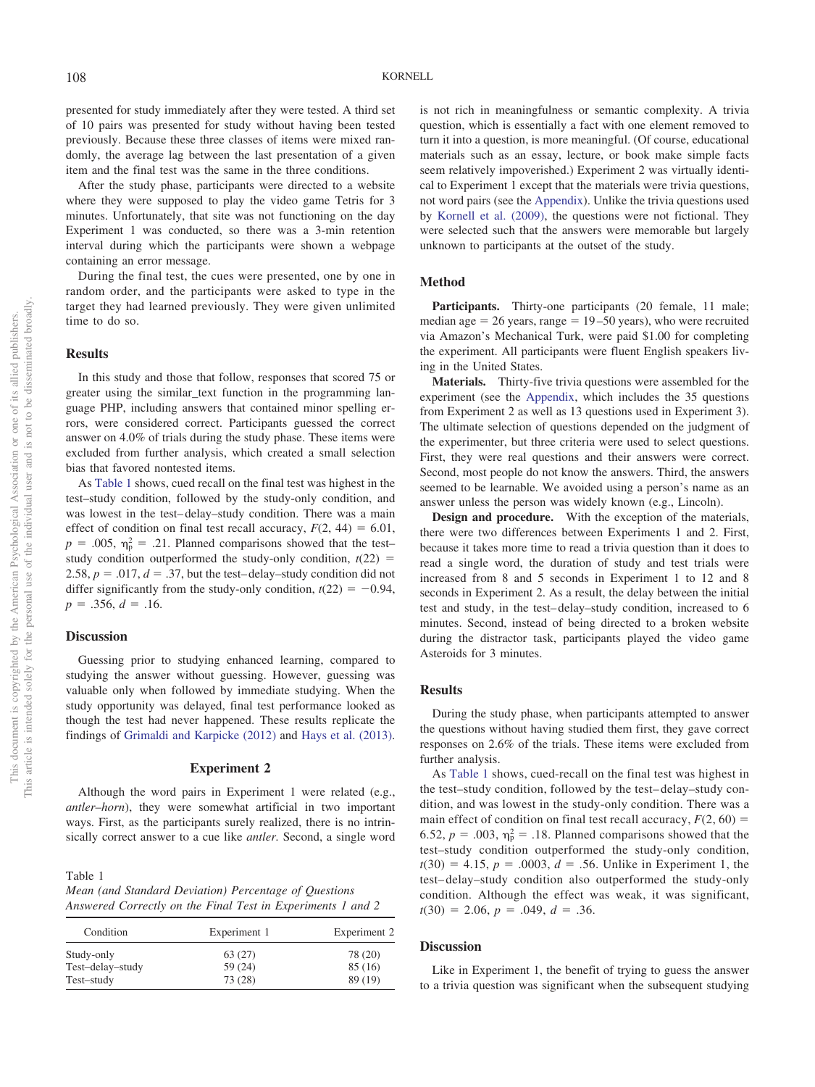presented for study immediately after they were tested. A third set of 10 pairs was presented for study without having been tested previously. Because these three classes of items were mixed randomly, the average lag between the last presentation of a given item and the final test was the same in the three conditions.

After the study phase, participants were directed to a website where they were supposed to play the video game Tetris for 3 minutes. Unfortunately, that site was not functioning on the day Experiment 1 was conducted, so there was a 3-min retention interval during which the participants were shown a webpage containing an error message.

During the final test, the cues were presented, one by one in random order, and the participants were asked to type in the target they had learned previously. They were given unlimited time to do so.

#### **Results**

In this study and those that follow, responses that scored 75 or greater using the similar\_text function in the programming language PHP, including answers that contained minor spelling errors, were considered correct. Participants guessed the correct answer on 4.0% of trials during the study phase. These items were excluded from further analysis, which created a small selection bias that favored nontested items.

As [Table 1](#page-2-0) shows, cued recall on the final test was highest in the test–study condition, followed by the study-only condition, and was lowest in the test– delay–study condition. There was a main effect of condition on final test recall accuracy,  $F(2, 44) = 6.01$ ,  $p = .005$ ,  $\eta_p^2 = .21$ . Planned comparisons showed that the test– study condition outperformed the study-only condition,  $t(22)$  = 2.58,  $p = .017$ ,  $d = .37$ , but the test–delay–study condition did not differ significantly from the study-only condition,  $t(22) = -0.94$ ,  $p = .356, d = .16.$ 

#### **Discussion**

Guessing prior to studying enhanced learning, compared to studying the answer without guessing. However, guessing was valuable only when followed by immediate studying. When the study opportunity was delayed, final test performance looked as though the test had never happened. These results replicate the findings of [Grimaldi and Karpicke \(2012\)](#page-7-3) and [Hays et al. \(2013\).](#page-7-4)

#### **Experiment 2**

Although the word pairs in Experiment 1 were related (e.g., *antler*–*horn*), they were somewhat artificial in two important ways. First, as the participants surely realized, there is no intrinsically correct answer to a cue like *antler.* Second, a single word

<span id="page-2-0"></span>Table 1 *Mean (and Standard Deviation) Percentage of Questions Answered Correctly on the Final Test in Experiments 1 and 2*

| Condition        | Experiment 1 | Experiment 2 |  |
|------------------|--------------|--------------|--|
| Study-only       | 63 (27)      | 78 (20)      |  |
| Test-delay-study | 59 (24)      | 85 (16)      |  |
| Test-study       | 73 (28)      | 89 (19)      |  |

is not rich in meaningfulness or semantic complexity. A trivia question, which is essentially a fact with one element removed to turn it into a question, is more meaningful. (Of course, educational materials such as an essay, lecture, or book make simple facts seem relatively impoverished.) Experiment 2 was virtually identical to Experiment 1 except that the materials were trivia questions, not word pairs (see the [Appendix\)](#page-8-0). Unlike the trivia questions used by [Kornell et al. \(2009\),](#page-7-8) the questions were not fictional. They were selected such that the answers were memorable but largely unknown to participants at the outset of the study.

#### **Method**

Participants. Thirty-one participants (20 female, 11 male; median age  $= 26$  years, range  $= 19 - 50$  years), who were recruited via Amazon's Mechanical Turk, were paid \$1.00 for completing the experiment. All participants were fluent English speakers living in the United States.

**Materials.** Thirty-five trivia questions were assembled for the experiment (see the [Appendix,](#page-8-0) which includes the 35 questions from Experiment 2 as well as 13 questions used in Experiment 3). The ultimate selection of questions depended on the judgment of the experimenter, but three criteria were used to select questions. First, they were real questions and their answers were correct. Second, most people do not know the answers. Third, the answers seemed to be learnable. We avoided using a person's name as an answer unless the person was widely known (e.g., Lincoln).

**Design and procedure.** With the exception of the materials, there were two differences between Experiments 1 and 2. First, because it takes more time to read a trivia question than it does to read a single word, the duration of study and test trials were increased from 8 and 5 seconds in Experiment 1 to 12 and 8 seconds in Experiment 2. As a result, the delay between the initial test and study, in the test– delay–study condition, increased to 6 minutes. Second, instead of being directed to a broken website during the distractor task, participants played the video game Asteroids for 3 minutes.

#### **Results**

During the study phase, when participants attempted to answer the questions without having studied them first, they gave correct responses on 2.6% of the trials. These items were excluded from further analysis.

As [Table 1](#page-2-0) shows, cued-recall on the final test was highest in the test–study condition, followed by the test– delay–study condition, and was lowest in the study-only condition. There was a main effect of condition on final test recall accuracy,  $F(2, 60) =$ 6.52,  $p = .003$ ,  $\eta_p^2 = .18$ . Planned comparisons showed that the test–study condition outperformed the study-only condition,  $t(30) = 4.15$ ,  $p = .0003$ ,  $d = .56$ . Unlike in Experiment 1, the test– delay–study condition also outperformed the study-only condition. Although the effect was weak, it was significant,  $t(30) = 2.06, p = .049, d = .36.$ 

#### **Discussion**

Like in Experiment 1, the benefit of trying to guess the answer to a trivia question was significant when the subsequent studying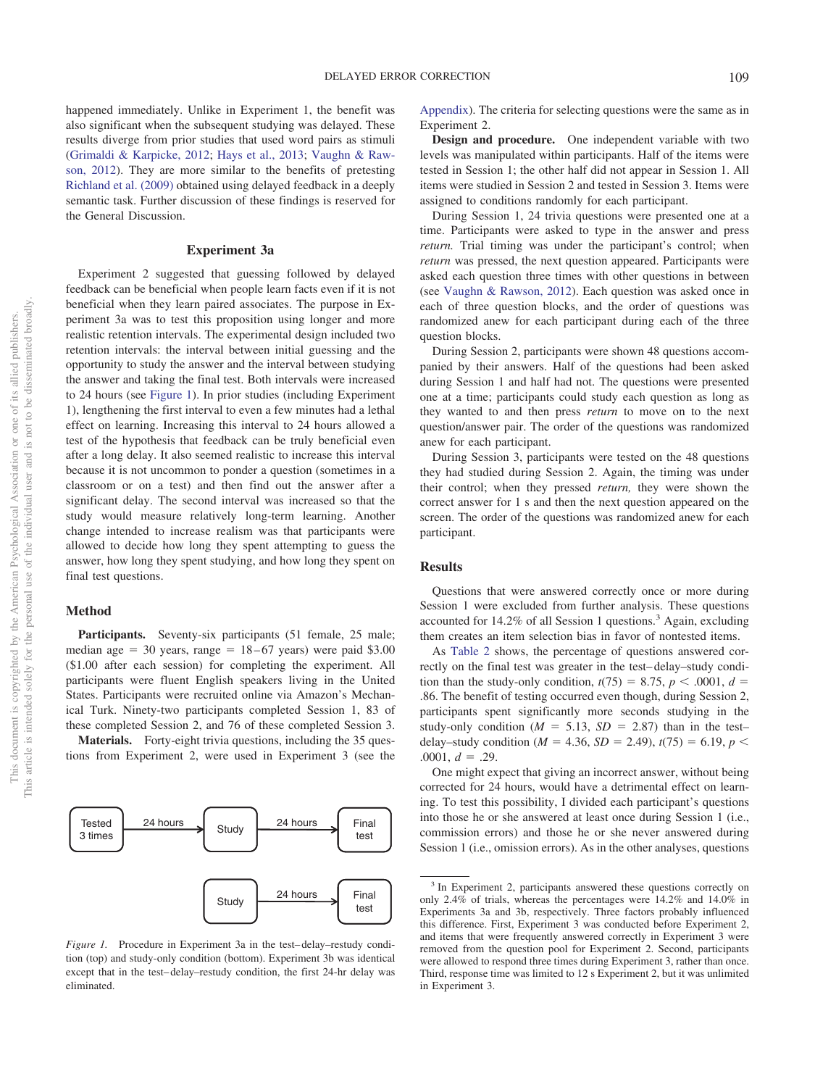happened immediately. Unlike in Experiment 1, the benefit was also significant when the subsequent studying was delayed. These results diverge from prior studies that used word pairs as stimuli [\(Grimaldi & Karpicke, 2012;](#page-7-3) [Hays et al., 2013;](#page-7-4) [Vaughn & Raw](#page-7-10)[son, 2012\)](#page-7-10). They are more similar to the benefits of pretesting [Richland et al. \(2009\)](#page-7-9) obtained using delayed feedback in a deeply semantic task. Further discussion of these findings is reserved for the General Discussion.

## **Experiment 3a**

Experiment 2 suggested that guessing followed by delayed feedback can be beneficial when people learn facts even if it is not beneficial when they learn paired associates. The purpose in Experiment 3a was to test this proposition using longer and more realistic retention intervals. The experimental design included two retention intervals: the interval between initial guessing and the opportunity to study the answer and the interval between studying the answer and taking the final test. Both intervals were increased to 24 hours (see [Figure 1\)](#page-3-0). In prior studies (including Experiment 1), lengthening the first interval to even a few minutes had a lethal effect on learning. Increasing this interval to 24 hours allowed a test of the hypothesis that feedback can be truly beneficial even after a long delay. It also seemed realistic to increase this interval because it is not uncommon to ponder a question (sometimes in a classroom or on a test) and then find out the answer after a significant delay. The second interval was increased so that the study would measure relatively long-term learning. Another change intended to increase realism was that participants were allowed to decide how long they spent attempting to guess the answer, how long they spent studying, and how long they spent on final test questions.

# **Method**

Participants. Seventy-six participants (51 female, 25 male; median age  $= 30$  years, range  $= 18-67$  years) were paid \$3.00 (\$1.00 after each session) for completing the experiment. All participants were fluent English speakers living in the United States. Participants were recruited online via Amazon's Mechanical Turk. Ninety-two participants completed Session 1, 83 of these completed Session 2, and 76 of these completed Session 3.

**Materials.** Forty-eight trivia questions, including the 35 questions from Experiment 2, were used in Experiment 3 (see the



<span id="page-3-0"></span>*Figure 1.* Procedure in Experiment 3a in the test-delay-restudy condition (top) and study-only condition (bottom). Experiment 3b was identical except that in the test– delay–restudy condition, the first 24-hr delay was eliminated.

[Appendix\)](#page-8-0). The criteria for selecting questions were the same as in Experiment 2.

**Design and procedure.** One independent variable with two levels was manipulated within participants. Half of the items were tested in Session 1; the other half did not appear in Session 1. All items were studied in Session 2 and tested in Session 3. Items were assigned to conditions randomly for each participant.

During Session 1, 24 trivia questions were presented one at a time. Participants were asked to type in the answer and press *return.* Trial timing was under the participant's control; when *return* was pressed, the next question appeared. Participants were asked each question three times with other questions in between (see [Vaughn & Rawson, 2012\)](#page-7-10). Each question was asked once in each of three question blocks, and the order of questions was randomized anew for each participant during each of the three question blocks.

During Session 2, participants were shown 48 questions accompanied by their answers. Half of the questions had been asked during Session 1 and half had not. The questions were presented one at a time; participants could study each question as long as they wanted to and then press *return* to move on to the next question/answer pair. The order of the questions was randomized anew for each participant.

During Session 3, participants were tested on the 48 questions they had studied during Session 2. Again, the timing was under their control; when they pressed *return,* they were shown the correct answer for 1 s and then the next question appeared on the screen. The order of the questions was randomized anew for each participant.

#### **Results**

Questions that were answered correctly once or more during Session 1 were excluded from further analysis. These questions accounted for 14.2% of all Session 1 questions.<sup>3</sup> Again, excluding them creates an item selection bias in favor of nontested items.

As [Table 2](#page-4-0) shows, the percentage of questions answered correctly on the final test was greater in the test– delay–study condition than the study-only condition,  $t(75) = 8.75$ ,  $p < .0001$ ,  $d =$ .86. The benefit of testing occurred even though, during Session 2, participants spent significantly more seconds studying in the study-only condition ( $M = 5.13$ ,  $SD = 2.87$ ) than in the test– delay–study condition ( $M = 4.36$ ,  $SD = 2.49$ ),  $t(75) = 6.19$ ,  $p <$  $.0001, d = .29.$ 

One might expect that giving an incorrect answer, without being corrected for 24 hours, would have a detrimental effect on learning. To test this possibility, I divided each participant's questions into those he or she answered at least once during Session 1 (i.e., commission errors) and those he or she never answered during Session 1 (i.e., omission errors). As in the other analyses, questions

<sup>&</sup>lt;sup>3</sup> In Experiment 2, participants answered these questions correctly on only 2.4% of trials, whereas the percentages were 14.2% and 14.0% in Experiments 3a and 3b, respectively. Three factors probably influenced this difference. First, Experiment 3 was conducted before Experiment 2, and items that were frequently answered correctly in Experiment 3 were removed from the question pool for Experiment 2. Second, participants were allowed to respond three times during Experiment 3, rather than once. Third, response time was limited to 12 s Experiment 2, but it was unlimited in Experiment 3.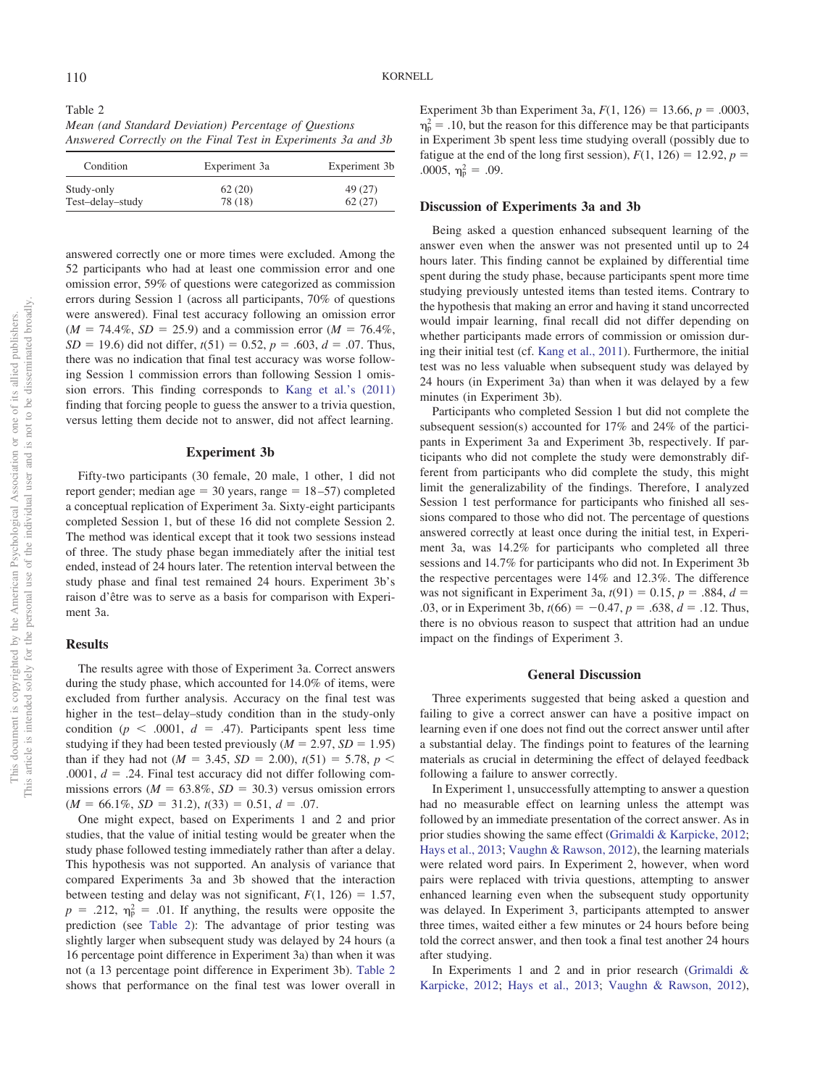<span id="page-4-0"></span>Table 2 *Mean (and Standard Deviation) Percentage of Questions Answered Correctly on the Final Test in Experiments 3a and 3b*

| Condition        | Experiment 3a | Experiment 3b |  |
|------------------|---------------|---------------|--|
| Study-only       | 62(20)        | 49 (27)       |  |
| Test-delay-study | 78 (18)       | 62(27)        |  |

answered correctly one or more times were excluded. Among the 52 participants who had at least one commission error and one omission error, 59% of questions were categorized as commission errors during Session 1 (across all participants, 70% of questions were answered). Final test accuracy following an omission error  $(M = 74.4\%, SD = 25.9)$  and a commission error  $(M = 76.4\%$ ,  $SD = 19.6$ ) did not differ,  $t(51) = 0.52$ ,  $p = .603$ ,  $d = .07$ . Thus, there was no indication that final test accuracy was worse following Session 1 commission errors than following Session 1 omission errors. This finding corresponds to [Kang et al.'s \(2011\)](#page-7-16) finding that forcing people to guess the answer to a trivia question, versus letting them decide not to answer, did not affect learning.

#### **Experiment 3b**

Fifty-two participants (30 female, 20 male, 1 other, 1 did not report gender; median age  $= 30$  years, range  $= 18-57$ ) completed a conceptual replication of Experiment 3a. Sixty-eight participants completed Session 1, but of these 16 did not complete Session 2. The method was identical except that it took two sessions instead of three. The study phase began immediately after the initial test ended, instead of 24 hours later. The retention interval between the study phase and final test remained 24 hours. Experiment 3b's raison d'être was to serve as a basis for comparison with Experiment 3a.

#### **Results**

The results agree with those of Experiment 3a. Correct answers during the study phase, which accounted for 14.0% of items, were excluded from further analysis. Accuracy on the final test was higher in the test– delay–study condition than in the study-only condition ( $p \le 0.0001$ ,  $d = .47$ ). Participants spent less time studying if they had been tested previously  $(M = 2.97, SD = 1.95)$ than if they had not ( $M = 3.45$ ,  $SD = 2.00$ ),  $t(51) = 5.78$ ,  $p <$ .0001,  $d = .24$ . Final test accuracy did not differ following commissions errors ( $M = 63.8\%$ ,  $SD = 30.3$ ) versus omission errors  $(M = 66.1\%, SD = 31.2), t(33) = 0.51, d = .07.$ 

One might expect, based on Experiments 1 and 2 and prior studies, that the value of initial testing would be greater when the study phase followed testing immediately rather than after a delay. This hypothesis was not supported. An analysis of variance that compared Experiments 3a and 3b showed that the interaction between testing and delay was not significant,  $F(1, 126) = 1.57$ ,  $p = .212$ ,  $\eta_p^2 = .01$ . If anything, the results were opposite the prediction (see [Table 2\)](#page-4-0): The advantage of prior testing was slightly larger when subsequent study was delayed by 24 hours (a 16 percentage point difference in Experiment 3a) than when it was not (a 13 percentage point difference in Experiment 3b). [Table 2](#page-4-0) shows that performance on the final test was lower overall in

Experiment 3b than Experiment 3a,  $F(1, 126) = 13.66$ ,  $p = .0003$ ,  $\eta_{\rm p}^2$  = .10, but the reason for this difference may be that participants in Experiment 3b spent less time studying overall (possibly due to fatigue at the end of the long first session),  $F(1, 126) = 12.92$ ,  $p =$ .0005,  $\eta_p^2 = .09$ .

#### **Discussion of Experiments 3a and 3b**

Being asked a question enhanced subsequent learning of the answer even when the answer was not presented until up to 24 hours later. This finding cannot be explained by differential time spent during the study phase, because participants spent more time studying previously untested items than tested items. Contrary to the hypothesis that making an error and having it stand uncorrected would impair learning, final recall did not differ depending on whether participants made errors of commission or omission during their initial test (cf. [Kang et al., 2011\)](#page-7-16). Furthermore, the initial test was no less valuable when subsequent study was delayed by 24 hours (in Experiment 3a) than when it was delayed by a few minutes (in Experiment 3b).

Participants who completed Session 1 but did not complete the subsequent session(s) accounted for 17% and 24% of the participants in Experiment 3a and Experiment 3b, respectively. If participants who did not complete the study were demonstrably different from participants who did complete the study, this might limit the generalizability of the findings. Therefore, I analyzed Session 1 test performance for participants who finished all sessions compared to those who did not. The percentage of questions answered correctly at least once during the initial test, in Experiment 3a, was 14.2% for participants who completed all three sessions and 14.7% for participants who did not. In Experiment 3b the respective percentages were 14% and 12.3%. The difference was not significant in Experiment 3a,  $t(91) = 0.15$ ,  $p = .884$ ,  $d =$ .03, or in Experiment 3b,  $t(66) = -0.47$ ,  $p = .638$ ,  $d = .12$ . Thus, there is no obvious reason to suspect that attrition had an undue impact on the findings of Experiment 3.

#### **General Discussion**

Three experiments suggested that being asked a question and failing to give a correct answer can have a positive impact on learning even if one does not find out the correct answer until after a substantial delay. The findings point to features of the learning materials as crucial in determining the effect of delayed feedback following a failure to answer correctly.

In Experiment 1, unsuccessfully attempting to answer a question had no measurable effect on learning unless the attempt was followed by an immediate presentation of the correct answer. As in prior studies showing the same effect [\(Grimaldi & Karpicke, 2012;](#page-7-3) [Hays et al., 2013;](#page-7-4) [Vaughn & Rawson, 2012\)](#page-7-10), the learning materials were related word pairs. In Experiment 2, however, when word pairs were replaced with trivia questions, attempting to answer enhanced learning even when the subsequent study opportunity was delayed. In Experiment 3, participants attempted to answer three times, waited either a few minutes or 24 hours before being told the correct answer, and then took a final test another 24 hours after studying.

In Experiments 1 and 2 and in prior research (Grimaldi  $\&$ [Karpicke, 2012;](#page-7-3) [Hays et al., 2013;](#page-7-4) [Vaughn & Rawson, 2012\)](#page-7-10),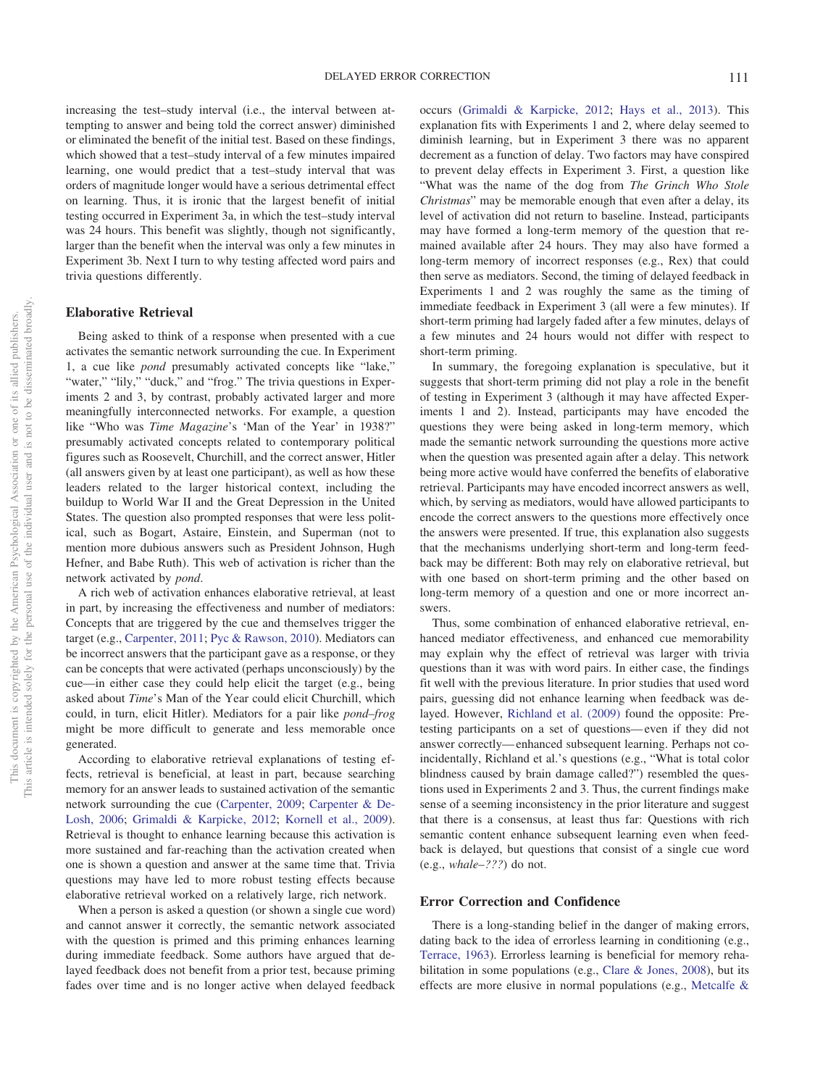increasing the test–study interval (i.e., the interval between attempting to answer and being told the correct answer) diminished or eliminated the benefit of the initial test. Based on these findings, which showed that a test–study interval of a few minutes impaired learning, one would predict that a test–study interval that was orders of magnitude longer would have a serious detrimental effect on learning. Thus, it is ironic that the largest benefit of initial testing occurred in Experiment 3a, in which the test–study interval was 24 hours. This benefit was slightly, though not significantly, larger than the benefit when the interval was only a few minutes in Experiment 3b. Next I turn to why testing affected word pairs and trivia questions differently.

## **Elaborative Retrieval**

Being asked to think of a response when presented with a cue activates the semantic network surrounding the cue. In Experiment 1, a cue like *pond* presumably activated concepts like "lake," "water," "lily," "duck," and "frog." The trivia questions in Experiments 2 and 3, by contrast, probably activated larger and more meaningfully interconnected networks. For example, a question like "Who was *Time Magazine*'s 'Man of the Year' in 1938?" presumably activated concepts related to contemporary political figures such as Roosevelt, Churchill, and the correct answer, Hitler (all answers given by at least one participant), as well as how these leaders related to the larger historical context, including the buildup to World War II and the Great Depression in the United States. The question also prompted responses that were less political, such as Bogart, Astaire, Einstein, and Superman (not to mention more dubious answers such as President Johnson, Hugh Hefner, and Babe Ruth). This web of activation is richer than the network activated by *pond*.

A rich web of activation enhances elaborative retrieval, at least in part, by increasing the effectiveness and number of mediators: Concepts that are triggered by the cue and themselves trigger the target (e.g., [Carpenter, 2011;](#page-7-17) [Pyc & Rawson, 2010\)](#page-7-18). Mediators can be incorrect answers that the participant gave as a response, or they can be concepts that were activated (perhaps unconsciously) by the cue—in either case they could help elicit the target (e.g., being asked about *Time*'s Man of the Year could elicit Churchill, which could, in turn, elicit Hitler). Mediators for a pair like *pond*–*frog* might be more difficult to generate and less memorable once generated.

According to elaborative retrieval explanations of testing effects, retrieval is beneficial, at least in part, because searching memory for an answer leads to sustained activation of the semantic network surrounding the cue [\(Carpenter, 2009;](#page-7-19) [Carpenter & De-](#page-7-20)[Losh, 2006;](#page-7-20) [Grimaldi & Karpicke, 2012;](#page-7-3) [Kornell et al., 2009\)](#page-7-8). Retrieval is thought to enhance learning because this activation is more sustained and far-reaching than the activation created when one is shown a question and answer at the same time that. Trivia questions may have led to more robust testing effects because elaborative retrieval worked on a relatively large, rich network.

When a person is asked a question (or shown a single cue word) and cannot answer it correctly, the semantic network associated with the question is primed and this priming enhances learning during immediate feedback. Some authors have argued that delayed feedback does not benefit from a prior test, because priming fades over time and is no longer active when delayed feedback occurs [\(Grimaldi & Karpicke, 2012;](#page-7-3) [Hays et al., 2013\)](#page-7-4). This explanation fits with Experiments 1 and 2, where delay seemed to diminish learning, but in Experiment 3 there was no apparent decrement as a function of delay. Two factors may have conspired to prevent delay effects in Experiment 3. First, a question like "What was the name of the dog from *The Grinch Who Stole Christmas*" may be memorable enough that even after a delay, its level of activation did not return to baseline. Instead, participants may have formed a long-term memory of the question that remained available after 24 hours. They may also have formed a long-term memory of incorrect responses (e.g., Rex) that could then serve as mediators. Second, the timing of delayed feedback in Experiments 1 and 2 was roughly the same as the timing of immediate feedback in Experiment 3 (all were a few minutes). If short-term priming had largely faded after a few minutes, delays of a few minutes and 24 hours would not differ with respect to short-term priming.

In summary, the foregoing explanation is speculative, but it suggests that short-term priming did not play a role in the benefit of testing in Experiment 3 (although it may have affected Experiments 1 and 2). Instead, participants may have encoded the questions they were being asked in long-term memory, which made the semantic network surrounding the questions more active when the question was presented again after a delay. This network being more active would have conferred the benefits of elaborative retrieval. Participants may have encoded incorrect answers as well, which, by serving as mediators, would have allowed participants to encode the correct answers to the questions more effectively once the answers were presented. If true, this explanation also suggests that the mechanisms underlying short-term and long-term feedback may be different: Both may rely on elaborative retrieval, but with one based on short-term priming and the other based on long-term memory of a question and one or more incorrect answers.

Thus, some combination of enhanced elaborative retrieval, enhanced mediator effectiveness, and enhanced cue memorability may explain why the effect of retrieval was larger with trivia questions than it was with word pairs. In either case, the findings fit well with the previous literature. In prior studies that used word pairs, guessing did not enhance learning when feedback was delayed. However, [Richland et al. \(2009\)](#page-7-9) found the opposite: Pretesting participants on a set of questions— even if they did not answer correctly— enhanced subsequent learning. Perhaps not coincidentally, Richland et al.'s questions (e.g., "What is total color blindness caused by brain damage called?") resembled the questions used in Experiments 2 and 3. Thus, the current findings make sense of a seeming inconsistency in the prior literature and suggest that there is a consensus, at least thus far: Questions with rich semantic content enhance subsequent learning even when feedback is delayed, but questions that consist of a single cue word (e.g., *whale*–*???*) do not.

#### **Error Correction and Confidence**

There is a long-standing belief in the danger of making errors, dating back to the idea of errorless learning in conditioning (e.g., [Terrace, 1963\)](#page-7-21). Errorless learning is beneficial for memory rehabilitation in some populations (e.g., [Clare & Jones, 2008\)](#page-7-22), but its effects are more elusive in normal populations (e.g., [Metcalfe &](#page-7-23)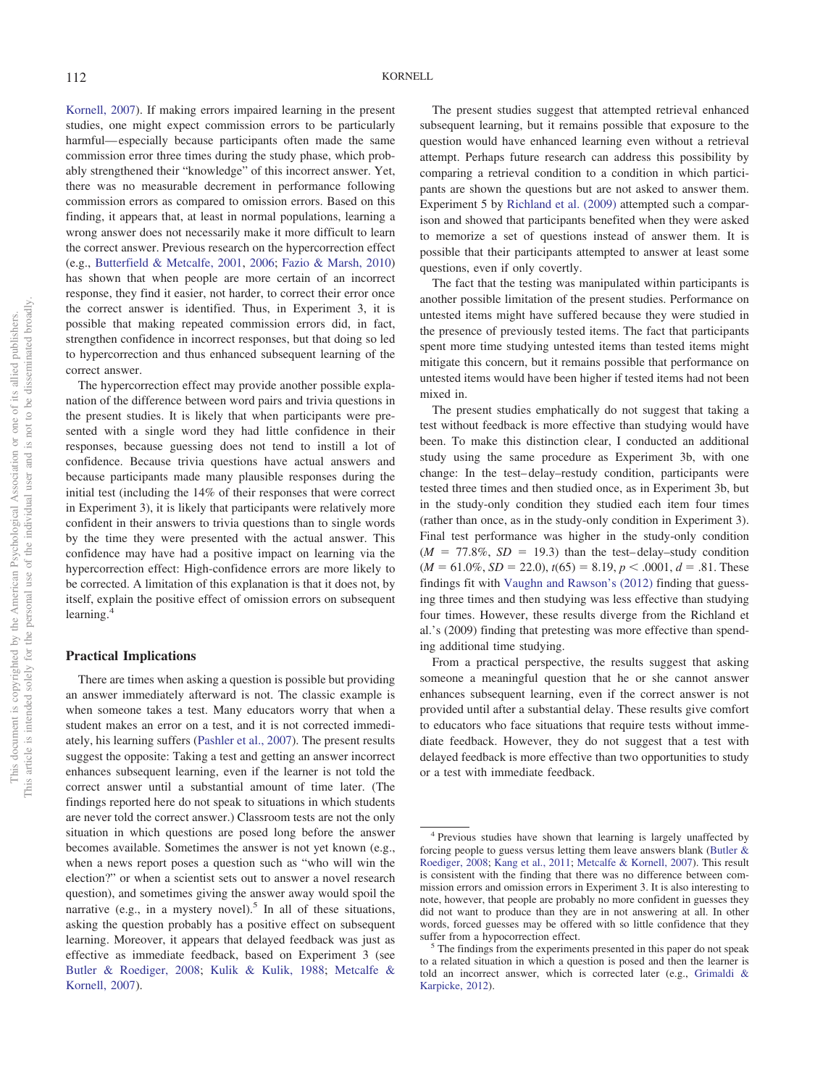[Kornell, 2007\)](#page-7-23). If making errors impaired learning in the present studies, one might expect commission errors to be particularly harmful— especially because participants often made the same commission error three times during the study phase, which probably strengthened their "knowledge" of this incorrect answer. Yet, there was no measurable decrement in performance following commission errors as compared to omission errors. Based on this finding, it appears that, at least in normal populations, learning a wrong answer does not necessarily make it more difficult to learn the correct answer. Previous research on the hypercorrection effect (e.g., [Butterfield & Metcalfe, 2001,](#page-7-24) [2006;](#page-7-25) [Fazio & Marsh, 2010\)](#page-7-26) has shown that when people are more certain of an incorrect response, they find it easier, not harder, to correct their error once the correct answer is identified. Thus, in Experiment 3, it is possible that making repeated commission errors did, in fact, strengthen confidence in incorrect responses, but that doing so led to hypercorrection and thus enhanced subsequent learning of the correct answer.

The hypercorrection effect may provide another possible explanation of the difference between word pairs and trivia questions in the present studies. It is likely that when participants were presented with a single word they had little confidence in their responses, because guessing does not tend to instill a lot of confidence. Because trivia questions have actual answers and because participants made many plausible responses during the initial test (including the 14% of their responses that were correct in Experiment 3), it is likely that participants were relatively more confident in their answers to trivia questions than to single words by the time they were presented with the actual answer. This confidence may have had a positive impact on learning via the hypercorrection effect: High-confidence errors are more likely to be corrected. A limitation of this explanation is that it does not, by itself, explain the positive effect of omission errors on subsequent learning.4

#### **Practical Implications**

There are times when asking a question is possible but providing an answer immediately afterward is not. The classic example is when someone takes a test. Many educators worry that when a student makes an error on a test, and it is not corrected immediately, his learning suffers [\(Pashler et al., 2007\)](#page-7-27). The present results suggest the opposite: Taking a test and getting an answer incorrect enhances subsequent learning, even if the learner is not told the correct answer until a substantial amount of time later. (The findings reported here do not speak to situations in which students are never told the correct answer.) Classroom tests are not the only situation in which questions are posed long before the answer becomes available. Sometimes the answer is not yet known (e.g., when a news report poses a question such as "who will win the election?" or when a scientist sets out to answer a novel research question), and sometimes giving the answer away would spoil the narrative (e.g., in a mystery novel).<sup>5</sup> In all of these situations, asking the question probably has a positive effect on subsequent learning. Moreover, it appears that delayed feedback was just as effective as immediate feedback, based on Experiment 3 (see [Butler & Roediger, 2008;](#page-7-28) [Kulik & Kulik, 1988;](#page-7-29) [Metcalfe &](#page-7-23) [Kornell, 2007\)](#page-7-23).

The present studies suggest that attempted retrieval enhanced subsequent learning, but it remains possible that exposure to the question would have enhanced learning even without a retrieval attempt. Perhaps future research can address this possibility by comparing a retrieval condition to a condition in which participants are shown the questions but are not asked to answer them. Experiment 5 by [Richland et al. \(2009\)](#page-7-9) attempted such a comparison and showed that participants benefited when they were asked to memorize a set of questions instead of answer them. It is possible that their participants attempted to answer at least some questions, even if only covertly.

The fact that the testing was manipulated within participants is another possible limitation of the present studies. Performance on untested items might have suffered because they were studied in the presence of previously tested items. The fact that participants spent more time studying untested items than tested items might mitigate this concern, but it remains possible that performance on untested items would have been higher if tested items had not been mixed in.

The present studies emphatically do not suggest that taking a test without feedback is more effective than studying would have been. To make this distinction clear, I conducted an additional study using the same procedure as Experiment 3b, with one change: In the test– delay–restudy condition, participants were tested three times and then studied once, as in Experiment 3b, but in the study-only condition they studied each item four times (rather than once, as in the study-only condition in Experiment 3). Final test performance was higher in the study-only condition  $(M = 77.8\%, SD = 19.3)$  than the test-delay-study condition  $(M = 61.0\%, SD = 22.0), t(65) = 8.19, p < .0001, d = .81$ . These findings fit with [Vaughn and Rawson's \(2012\)](#page-7-10) finding that guessing three times and then studying was less effective than studying four times. However, these results diverge from the Richland et al.'s (2009) finding that pretesting was more effective than spending additional time studying.

From a practical perspective, the results suggest that asking someone a meaningful question that he or she cannot answer enhances subsequent learning, even if the correct answer is not provided until after a substantial delay. These results give comfort to educators who face situations that require tests without immediate feedback. However, they do not suggest that a test with delayed feedback is more effective than two opportunities to study or a test with immediate feedback.

<sup>4</sup> Previous studies have shown that learning is largely unaffected by forcing people to guess versus letting them leave answers blank [\(Butler &](#page-7-28) [Roediger, 2008;](#page-7-28) [Kang et al., 2011;](#page-7-16) [Metcalfe & Kornell, 2007\)](#page-7-23). This result is consistent with the finding that there was no difference between commission errors and omission errors in Experiment 3. It is also interesting to note, however, that people are probably no more confident in guesses they did not want to produce than they are in not answering at all. In other words, forced guesses may be offered with so little confidence that they

suffer from a hypocorrection effect.<br><sup>5</sup> The findings from the experiments presented in this paper do not speak to a related situation in which a question is posed and then the learner is told an incorrect answer, which is corrected later (e.g., [Grimaldi &](#page-7-3) [Karpicke, 2012\)](#page-7-3).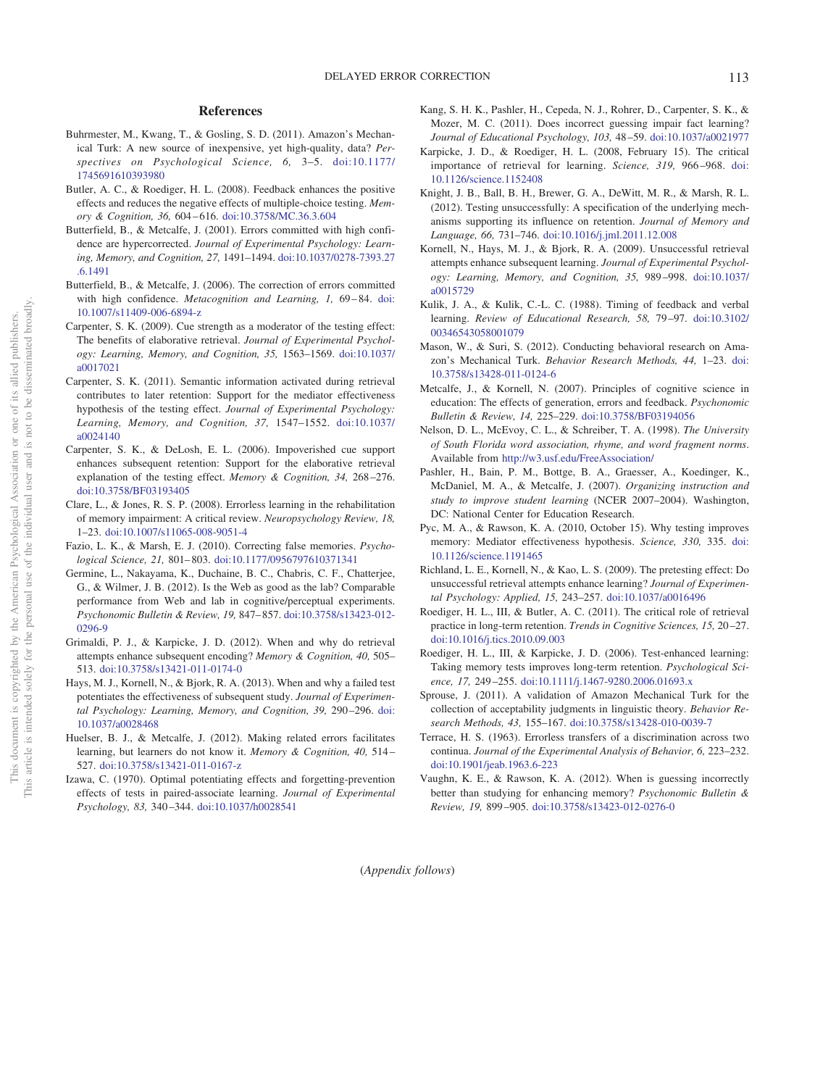## **References**

- <span id="page-7-11"></span>Buhrmester, M., Kwang, T., & Gosling, S. D. (2011). Amazon's Mechanical Turk: A new source of inexpensive, yet high-quality, data? *Perspectives on Psychological Science, 6,* 3–5. [doi:10.1177/](http://dx.doi.org/10.1177/1745691610393980) [1745691610393980](http://dx.doi.org/10.1177/1745691610393980)
- <span id="page-7-28"></span>Butler, A. C., & Roediger, H. L. (2008). Feedback enhances the positive effects and reduces the negative effects of multiple-choice testing. *Memory & Cognition, 36,* 604 – 616. [doi:10.3758/MC.36.3.604](http://dx.doi.org/10.3758/MC.36.3.604)
- <span id="page-7-24"></span>Butterfield, B., & Metcalfe, J. (2001). Errors committed with high confidence are hypercorrected. *Journal of Experimental Psychology: Learning, Memory, and Cognition, 27,* 1491–1494. [doi:10.1037/0278-7393.27](http://dx.doi.org/10.1037/0278-7393.27.6.1491) [.6.1491](http://dx.doi.org/10.1037/0278-7393.27.6.1491)
- <span id="page-7-25"></span>Butterfield, B., & Metcalfe, J. (2006). The correction of errors committed with high confidence. *Metacognition and Learning, 1*, 69-84. [doi:](http://dx.doi.org/10.1007/s11409-006-6894-z) [10.1007/s11409-006-6894-z](http://dx.doi.org/10.1007/s11409-006-6894-z)
- <span id="page-7-19"></span>Carpenter, S. K. (2009). Cue strength as a moderator of the testing effect: The benefits of elaborative retrieval. *Journal of Experimental Psychology: Learning, Memory, and Cognition, 35,* 1563–1569. [doi:10.1037/](http://dx.doi.org/10.1037/a0017021) [a0017021](http://dx.doi.org/10.1037/a0017021)
- <span id="page-7-17"></span>Carpenter, S. K. (2011). Semantic information activated during retrieval contributes to later retention: Support for the mediator effectiveness hypothesis of the testing effect. *Journal of Experimental Psychology: Learning, Memory, and Cognition, 37,* 1547–1552. [doi:10.1037/](http://dx.doi.org/10.1037/a0024140) [a0024140](http://dx.doi.org/10.1037/a0024140)
- <span id="page-7-20"></span>Carpenter, S. K., & DeLosh, E. L. (2006). Impoverished cue support enhances subsequent retention: Support for the elaborative retrieval explanation of the testing effect. *Memory & Cognition, 34,* 268 –276. [doi:10.3758/BF03193405](http://dx.doi.org/10.3758/BF03193405)
- <span id="page-7-22"></span>Clare, L., & Jones, R. S. P. (2008). Errorless learning in the rehabilitation of memory impairment: A critical review. *Neuropsychology Review, 18,* 1–23. [doi:10.1007/s11065-008-9051-4](http://dx.doi.org/10.1007/s11065-008-9051-4)
- <span id="page-7-26"></span>Fazio, L. K., & Marsh, E. J. (2010). Correcting false memories. *Psychological Science, 21,* 801– 803. [doi:10.1177/0956797610371341](http://dx.doi.org/10.1177/0956797610371341)
- <span id="page-7-12"></span>Germine, L., Nakayama, K., Duchaine, B. C., Chabris, C. F., Chatterjee, G., & Wilmer, J. B. (2012). Is the Web as good as the lab? Comparable performance from Web and lab in cognitive/perceptual experiments. *Psychonomic Bulletin & Review, 19,* 847– 857. [doi:10.3758/s13423-012-](http://dx.doi.org/10.3758/s13423-012-0296-9) [0296-9](http://dx.doi.org/10.3758/s13423-012-0296-9)
- <span id="page-7-3"></span>Grimaldi, P. J., & Karpicke, J. D. (2012). When and why do retrieval attempts enhance subsequent encoding? *Memory & Cognition, 40,* 505– 513. [doi:10.3758/s13421-011-0174-0](http://dx.doi.org/10.3758/s13421-011-0174-0)
- <span id="page-7-4"></span>Hays, M. J., Kornell, N., & Bjork, R. A. (2013). When and why a failed test potentiates the effectiveness of subsequent study. *Journal of Experimental Psychology: Learning, Memory, and Cognition, 39,* 290 –296. [doi:](http://dx.doi.org/10.1037/a0028468) [10.1037/a0028468](http://dx.doi.org/10.1037/a0028468)
- <span id="page-7-5"></span>Huelser, B. J., & Metcalfe, J. (2012). Making related errors facilitates learning, but learners do not know it. *Memory & Cognition, 40,* 514 – 527. [doi:10.3758/s13421-011-0167-z](http://dx.doi.org/10.3758/s13421-011-0167-z)
- <span id="page-7-6"></span>Izawa, C. (1970). Optimal potentiating effects and forgetting-prevention effects of tests in paired-associate learning. *Journal of Experimental Psychology, 83,* 340 –344. [doi:10.1037/h0028541](http://dx.doi.org/10.1037/h0028541)
- <span id="page-7-16"></span>Kang, S. H. K., Pashler, H., Cepeda, N. J., Rohrer, D., Carpenter, S. K., & Mozer, M. C. (2011). Does incorrect guessing impair fact learning? *Journal of Educational Psychology, 103,* 48 –59. [doi:10.1037/a0021977](http://dx.doi.org/10.1037/a0021977)
- <span id="page-7-2"></span>Karpicke, J. D., & Roediger, H. L. (2008, February 15). The critical importance of retrieval for learning. *Science, 319,* 966 –968. [doi:](http://dx.doi.org/10.1126/science.1152408) [10.1126/science.1152408](http://dx.doi.org/10.1126/science.1152408)
- <span id="page-7-7"></span>Knight, J. B., Ball, B. H., Brewer, G. A., DeWitt, M. R., & Marsh, R. L. (2012). Testing unsuccessfully: A specification of the underlying mechanisms supporting its influence on retention. *Journal of Memory and Language, 66,* 731–746. [doi:10.1016/j.jml.2011.12.008](http://dx.doi.org/10.1016/j.jml.2011.12.008)
- <span id="page-7-8"></span>Kornell, N., Hays, M. J., & Bjork, R. A. (2009). Unsuccessful retrieval attempts enhance subsequent learning. *Journal of Experimental Psychology: Learning, Memory, and Cognition, 35,* 989 –998. [doi:10.1037/](http://dx.doi.org/10.1037/a0015729) [a0015729](http://dx.doi.org/10.1037/a0015729)
- <span id="page-7-29"></span>Kulik, J. A., & Kulik, C.-L. C. (1988). Timing of feedback and verbal learning. *Review of Educational Research, 58,* 79 –97. [doi:10.3102/](http://dx.doi.org/10.3102/00346543058001079) [00346543058001079](http://dx.doi.org/10.3102/00346543058001079)
- <span id="page-7-13"></span>Mason, W., & Suri, S. (2012). Conducting behavioral research on Amazon's Mechanical Turk. *Behavior Research Methods, 44,* 1–23. [doi:](http://dx.doi.org/10.3758/s13428-011-0124-6) [10.3758/s13428-011-0124-6](http://dx.doi.org/10.3758/s13428-011-0124-6)
- <span id="page-7-23"></span>Metcalfe, J., & Kornell, N. (2007). Principles of cognitive science in education: The effects of generation, errors and feedback. *Psychonomic Bulletin & Review, 14,* 225–229. [doi:10.3758/BF03194056](http://dx.doi.org/10.3758/BF03194056)
- <span id="page-7-15"></span>Nelson, D. L., McEvoy, C. L., & Schreiber, T. A. (1998). *The University of South Florida word association, rhyme, and word fragment norms*. Available from <http://w3.usf.edu/FreeAssociation/>
- <span id="page-7-27"></span>Pashler, H., Bain, P. M., Bottge, B. A., Graesser, A., Koedinger, K., McDaniel, M. A., & Metcalfe, J. (2007). *Organizing instruction and study to improve student learning* (NCER 2007–2004). Washington, DC: National Center for Education Research.
- <span id="page-7-18"></span>Pyc, M. A., & Rawson, K. A. (2010, October 15). Why testing improves memory: Mediator effectiveness hypothesis. *Science, 330,* 335. [doi:](http://dx.doi.org/10.1126/science.1191465) [10.1126/science.1191465](http://dx.doi.org/10.1126/science.1191465)
- <span id="page-7-9"></span>Richland, L. E., Kornell, N., & Kao, L. S. (2009). The pretesting effect: Do unsuccessful retrieval attempts enhance learning? *Journal of Experimental Psychology: Applied, 15,* 243–257. [doi:10.1037/a0016496](http://dx.doi.org/10.1037/a0016496)
- <span id="page-7-0"></span>Roediger, H. L., III, & Butler, A. C. (2011). The critical role of retrieval practice in long-term retention. *Trends in Cognitive Sciences*, 15, 20-27. [doi:10.1016/j.tics.2010.09.003](http://dx.doi.org/10.1016/j.tics.2010.09.003)
- <span id="page-7-1"></span>Roediger, H. L., III, & Karpicke, J. D. (2006). Test-enhanced learning: Taking memory tests improves long-term retention. *Psychological Science, 17,* 249 –255. [doi:10.1111/j.1467-9280.2006.01693.x](http://dx.doi.org/10.1111/j.1467-9280.2006.01693.x)
- <span id="page-7-14"></span>Sprouse, J. (2011). A validation of Amazon Mechanical Turk for the collection of acceptability judgments in linguistic theory. *Behavior Research Methods, 43,* 155–167. [doi:10.3758/s13428-010-0039-7](http://dx.doi.org/10.3758/s13428-010-0039-7)
- <span id="page-7-21"></span>Terrace, H. S. (1963). Errorless transfers of a discrimination across two continua. *Journal of the Experimental Analysis of Behavior, 6,* 223–232. [doi:10.1901/jeab.1963.6-223](http://dx.doi.org/10.1901/jeab.1963.6-223)
- <span id="page-7-10"></span>Vaughn, K. E., & Rawson, K. A. (2012). When is guessing incorrectly better than studying for enhancing memory? *Psychonomic Bulletin & Review, 19,* 899 –905. [doi:10.3758/s13423-012-0276-0](http://dx.doi.org/10.3758/s13423-012-0276-0)

(*Appendix follows*)